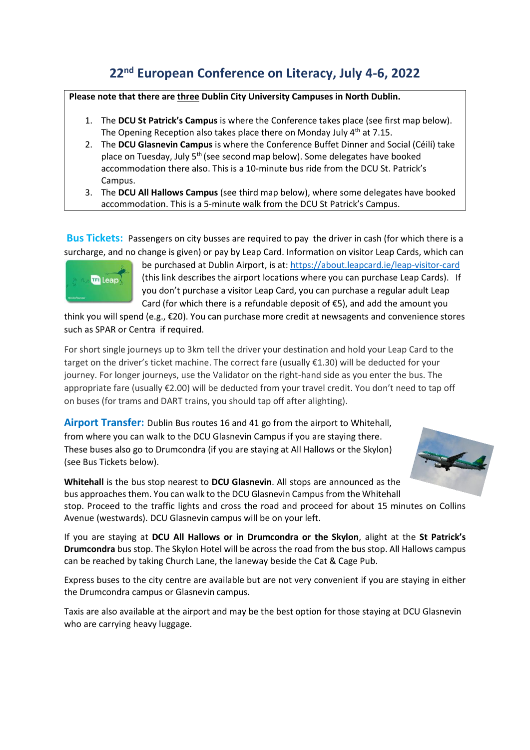## **22nd European Conference on Literacy, July 4-6, 2022**

## **Please note that there are three Dublin City University Campuses in North Dublin.**

- 1. The **DCU St Patrick's Campus** is where the Conference takes place (see first map below). The Opening Reception also takes place there on Monday July 4<sup>th</sup> at 7.15.
- 2. The **DCU Glasnevin Campus** is where the Conference Buffet Dinner and Social (Céilí) take place on Tuesday, July 5<sup>th</sup> (see second map below). Some delegates have booked accommodation there also. This is a 10-minute bus ride from the DCU St. Patrick's Campus.
- 3. The **DCU All Hallows Campus** (see third map below), where some delegates have booked accommodation. This is a 5-minute walk from the DCU St Patrick's Campus.

**Bus Tickets:** Passengers on city busses are required to pay the driver in cash (for which there is a surcharge, and no change is given) or pay by Leap Card. Information on visitor Leap Cards, which can



be purchased at Dublin Airport, is at:<https://about.leapcard.ie/leap-visitor-card> (this link describes the airport locations where you can purchase Leap Cards). If you don't purchase a visitor Leap Card, you can purchase a regular adult Leap Card (for which there is a refundable deposit of  $E$ 5), and add the amount you

think you will spend (e.g., €20). You can purchase more credit at newsagents and convenience stores such as SPAR or Centra if required.

For short single journeys up to 3km tell the driver your destination and hold your Leap Card to the target on the driver's ticket machine. The correct fare (usually €1.30) will be deducted for your journey. For longer journeys, use the Validator on the right-hand side as you enter the bus. The appropriate fare (usually €2.00) will be deducted from your travel credit. You don't need to tap off on buses (for trams and DART trains, you should tap off after alighting).

**Airport Transfer:** Dublin Bus routes 16 and 41 go from the airport to Whitehall, from where you can walk to the DCU Glasnevin Campus if you are staying there. These buses also go to Drumcondra (if you are staying at All Hallows or the Skylon) (see Bus Tickets below).



**Whitehall** is the bus stop nearest to **DCU Glasnevin**. All stops are announced as the bus approaches them. You can walk to the DCU Glasnevin Campus from the Whitehall stop. Proceed to the traffic lights and cross the road and proceed for about 15 minutes on Collins Avenue (westwards). DCU Glasnevin campus will be on your left.

If you are staying at **DCU All Hallows or in Drumcondra or the Skylon**, alight at the **St Patrick's Drumcondra** bus stop. The Skylon Hotel will be across the road from the bus stop. All Hallows campus can be reached by taking Church Lane, the laneway beside the Cat & Cage Pub.

Express buses to the city centre are available but are not very convenient if you are staying in either the Drumcondra campus or Glasnevin campus.

Taxis are also available at the airport and may be the best option for those staying at DCU Glasnevin who are carrying heavy luggage.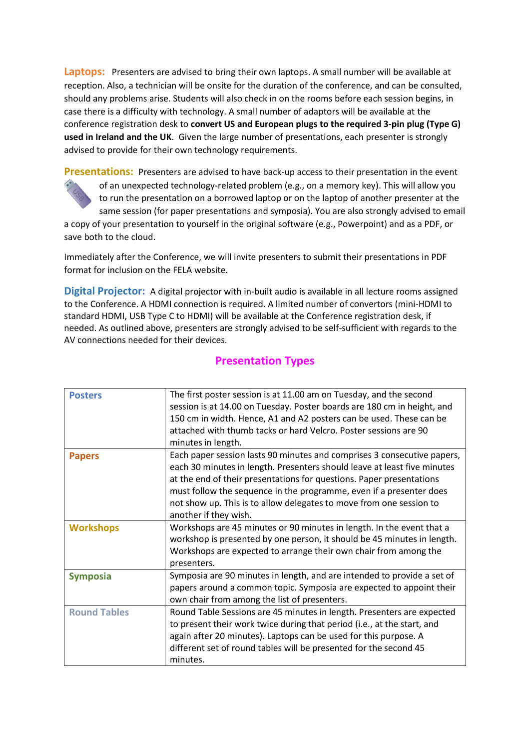**Laptops:** Presenters are advised to bring their own laptops. A small number will be available at reception. Also, a technician will be onsite for the duration of the conference, and can be consulted, should any problems arise. Students will also check in on the rooms before each session begins, in case there is a difficulty with technology. A small number of adaptors will be available at the conference registration desk to **convert US and European plugs to the required 3-pin plug (Type G) used in Ireland and the UK**. Given the large number of presentations, each presenter is strongly advised to provide for their own technology requirements.

**Presentations:** Presenters are advised to have back-up access to their presentation in the event of an unexpected technology-related problem (e.g., on a memory key). This will allow you to run the presentation on a borrowed laptop or on the laptop of another presenter at the same session (for paper presentations and symposia). You are also strongly advised to email a copy of your presentation to yourself in the original software (e.g., Powerpoint) and as a PDF, or save both to the cloud.

Immediately after the Conference, we will invite presenters to submit their presentations in PDF format for inclusion on the FELA website.

**Digital Projector:** A digital projector with in-built audio is available in all lecture rooms assigned to the Conference. A HDMI connection is required. A limited number of convertors (mini-HDMI to standard HDMI, USB Type C to HDMI) will be available at the Conference registration desk, if needed. As outlined above, presenters are strongly advised to be self-sufficient with regards to the AV connections needed for their devices.

| <b>Posters</b>      | The first poster session is at 11.00 am on Tuesday, and the second<br>session is at 14.00 on Tuesday. Poster boards are 180 cm in height, and<br>150 cm in width. Hence, A1 and A2 posters can be used. These can be<br>attached with thumb tacks or hard Velcro. Poster sessions are 90<br>minutes in length.                                                                                     |
|---------------------|----------------------------------------------------------------------------------------------------------------------------------------------------------------------------------------------------------------------------------------------------------------------------------------------------------------------------------------------------------------------------------------------------|
| <b>Papers</b>       | Each paper session lasts 90 minutes and comprises 3 consecutive papers,<br>each 30 minutes in length. Presenters should leave at least five minutes<br>at the end of their presentations for questions. Paper presentations<br>must follow the sequence in the programme, even if a presenter does<br>not show up. This is to allow delegates to move from one session to<br>another if they wish. |
| <b>Workshops</b>    | Workshops are 45 minutes or 90 minutes in length. In the event that a<br>workshop is presented by one person, it should be 45 minutes in length.<br>Workshops are expected to arrange their own chair from among the<br>presenters.                                                                                                                                                                |
| <b>Symposia</b>     | Symposia are 90 minutes in length, and are intended to provide a set of<br>papers around a common topic. Symposia are expected to appoint their<br>own chair from among the list of presenters.                                                                                                                                                                                                    |
| <b>Round Tables</b> | Round Table Sessions are 45 minutes in length. Presenters are expected<br>to present their work twice during that period (i.e., at the start, and<br>again after 20 minutes). Laptops can be used for this purpose. A<br>different set of round tables will be presented for the second 45<br>minutes.                                                                                             |

## **Presentation Types**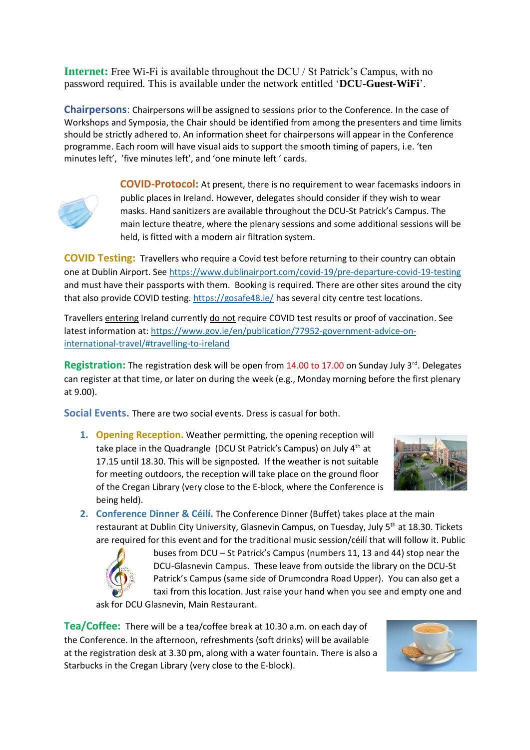**Internet:** Free Wi-Fi is available throughout the DCU / St Patrick's Campus, with no password required. This is available under the network entitled '**DCU-Guest-WiFi**'.

**Chairpersons**: Chairpersons will be assigned to sessions prior to the Conference. In the case of Workshops and Symposia, the Chair should be identified from among the presenters and time limits should be strictly adhered to. An information sheet for chairpersons will appear in the Conference programme. Each room will have visual aids to support the smooth timing of papers, i.e. 'ten minutes left', 'five minutes left', and 'one minute left ' cards.



**COVID-Protocol:** At present, there is no requirement to wear facemasks indoors in public places in Ireland. However, delegates should consider if they wish to wear masks. Hand sanitizers are available throughout the DCU-St Patrick's Campus. The main lecture theatre, where the plenary sessions and some additional sessions will be held, is fitted with a modern air filtration system.

**COVID Testing:** Travellers who require a Covid test before returning to their country can obtain one at Dublin Airport. See<https://www.dublinairport.com/covid-19/pre-departure-covid-19-testing> and must have their passports with them. Booking is required. There are other sites around the city that also provide COVID testing.<https://gosafe48.ie/> has several city centre test locations.

Travellers entering Ireland currently do not require COVID test results or proof of vaccination. See latest information at[: https://www.gov.ie/en/publication/77952-government-advice-on](https://www.gov.ie/en/publication/77952-government-advice-on-international-travel/#travelling-to-ireland)[international-travel/#travelling-to-ireland](https://www.gov.ie/en/publication/77952-government-advice-on-international-travel/#travelling-to-ireland)

**Registration:** The registration desk will be open from 14.00 to 17.00 on Sunday July 3<sup>rd</sup>. Delegates can register at that time, or later on during the week (e.g., Monday morning before the first plenary at 9.00).

**Social Events.** There are two social events. Dress is casual for both.

**1. Opening Reception.** Weather permitting, the opening reception will take place in the Quadrangle (DCU St Patrick's Campus) on July 4<sup>th</sup> at 17.15 until 18.30. This will be signposted. If the weather is not suitable for meeting outdoors, the reception will take place on the ground floor of the Cregan Library (very close to the E-block, where the Conference is being held).



**2. Conference Dinner & Céilí.** The Conference Dinner (Buffet) takes place at the main restaurant at Dublin City University, Glasnevin Campus, on Tuesday, July 5th at 18.30. Tickets are required for this event and for the traditional music session/céilí that will follow it. Public



buses from DCU – St Patrick's Campus (numbers 11, 13 and 44) stop near the DCU-Glasnevin Campus. These leave from outside the library on the DCU-St Patrick's Campus (same side of Drumcondra Road Upper). You can also get a taxi from this location. Just raise your hand when you see and empty one and

ask for DCU Glasnevin, Main Restaurant.

**Tea/Coffee:** There will be a tea/coffee break at 10.30 a.m. on each day of the Conference. In the afternoon, refreshments (soft drinks) will be available at the registration desk at 3.30 pm, along with a water fountain. There is also a Starbucks in the Cregan Library (very close to the E-block).

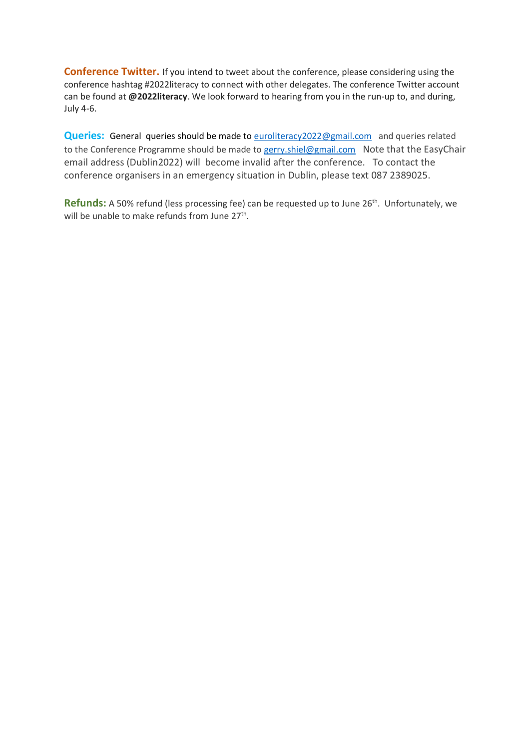**Conference Twitter.** If you intend to tweet about the conference, please considering using the conference hashtag #2022literacy to connect with other delegates. The conference Twitter account can be found at **@2022literacy**. We look forward to hearing from you in the run-up to, and during, July 4-6.

**Queries:** General queries should be made to **euroliteracy2022@gmail.com** and queries related to the Conference Programme should be made to [gerry.shiel@gmail.com](mailto:gerry.shiel@gmail.com) Note that the EasyChair email address (Dublin2022) will become invalid after the conference. To contact the conference organisers in an emergency situation in Dublin, please text 087 2389025.

Refunds: A 50% refund (less processing fee) can be requested up to June 26<sup>th</sup>. Unfortunately, we will be unable to make refunds from June 27<sup>th</sup>.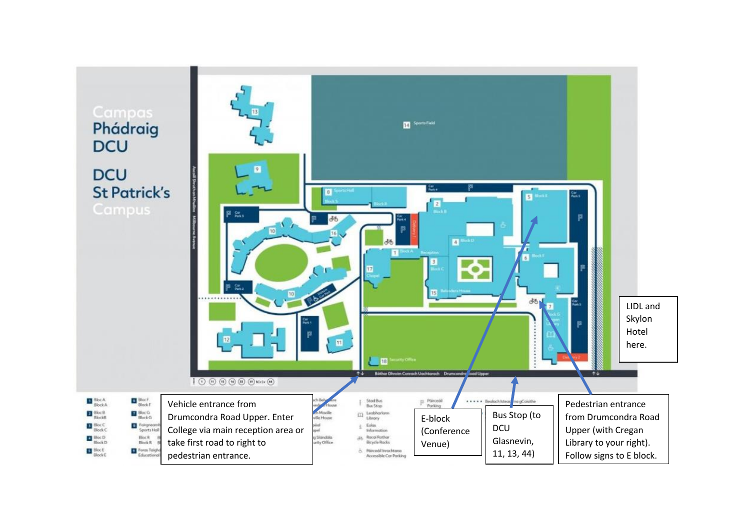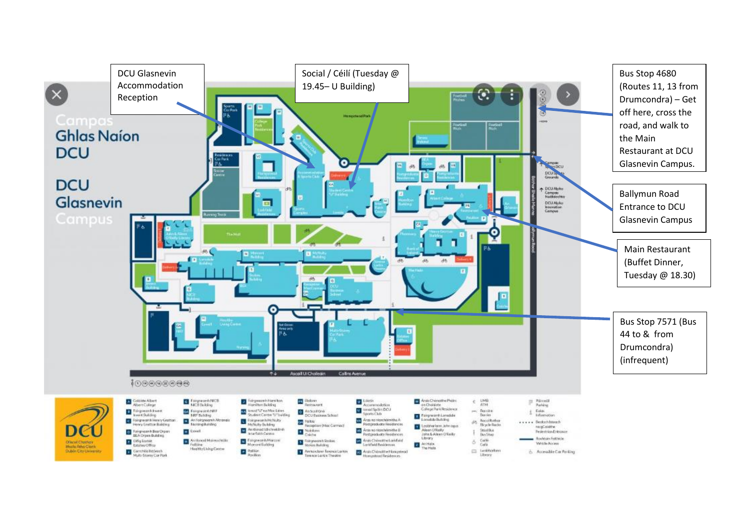